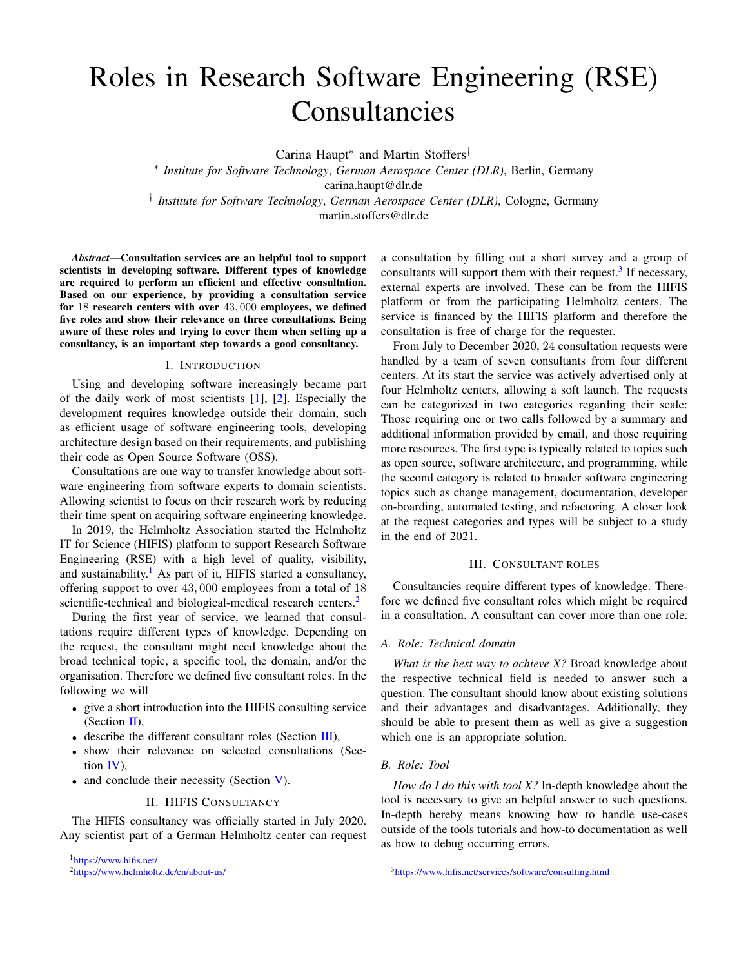# Roles in Research Software Engineering (RSE) Consultancies

Carina Haupt<sup>∗</sup> and Martin Stoffers†

∗ *Institute for Software Technology*, *German Aerospace Center (DLR)*, Berlin, Germany carina.haupt@dlr.de † *Institute for Software Technology*, *German Aerospace Center (DLR)*, Cologne, Germany

martin.stoffers@dlr.de

*Abstract*—Consultation services are an helpful tool to support scientists in developing software. Different types of knowledge are required to perform an efficient and effective consultation. Based on our experience, by providing a consultation service for 18 research centers with over 43, 000 employees, we defined five roles and show their relevance on three consultations. Being aware of these roles and trying to cover them when setting up a consultancy, is an important step towards a good consultancy.

#### I. INTRODUCTION

Using and developing software increasingly became part of the daily work of most scientists [\[1\]](#page-2-0), [\[2\]](#page-2-1). Especially the development requires knowledge outside their domain, such as efficient usage of software engineering tools, developing architecture design based on their requirements, and publishing their code as Open Source Software (OSS).

Consultations are one way to transfer knowledge about software engineering from software experts to domain scientists. Allowing scientist to focus on their research work by reducing their time spent on acquiring software engineering knowledge.

In 2019, the Helmholtz Association started the Helmholtz IT for Science (HIFIS) platform to support Research Software Engineering (RSE) with a high level of quality, visibility, and sustainability.<sup>[1](#page-0-0)</sup> As part of it, HIFIS started a consultancy, offering support to over 43, 000 employees from a total of 18 scientific-technical and biological-medical research centers.<sup>[2](#page-0-1)</sup>

During the first year of service, we learned that consultations require different types of knowledge. Depending on the request, the consultant might need knowledge about the broad technical topic, a specific tool, the domain, and/or the organisation. Therefore we defined five consultant roles. In the following we will

- give a short introduction into the HIFIS consulting service (Section  $II$ ),
- describe the different consultant roles (Section [III\)](#page-0-3),
- show their relevance on selected consultations (Section [IV\)](#page-1-0),
- and conclude their necessity (Section [V\)](#page-1-1).

#### II. HIFIS CONSULTANCY

<span id="page-0-2"></span>The HIFIS consultancy was officially started in July 2020. Any scientist part of a German Helmholtz center can request a consultation by filling out a short survey and a group of consultants will support them with their request.<sup>[3](#page-0-4)</sup> If necessary, external experts are involved. These can be from the HIFIS platform or from the participating Helmholtz centers. The service is financed by the HIFIS platform and therefore the consultation is free of charge for the requester.

From July to December 2020, 24 consultation requests were handled by a team of seven consultants from four different centers. At its start the service was actively advertised only at four Helmholtz centers, allowing a soft launch. The requests can be categorized in two categories regarding their scale: Those requiring one or two calls followed by a summary and additional information provided by email, and those requiring more resources. The first type is typically related to topics such as open source, software architecture, and programming, while the second category is related to broader software engineering topics such as change management, documentation, developer on-boarding, automated testing, and refactoring. A closer look at the request categories and types will be subject to a study in the end of 2021.

# III. CONSULTANT ROLES

<span id="page-0-3"></span>Consultancies require different types of knowledge. Therefore we defined five consultant roles which might be required in a consultation. A consultant can cover more than one role.

# *A. Role: Technical domain*

*What is the best way to achieve X?* Broad knowledge about the respective technical field is needed to answer such a question. The consultant should know about existing solutions and their advantages and disadvantages. Additionally, they should be able to present them as well as give a suggestion which one is an appropriate solution.

## *B. Role: Tool*

<span id="page-0-4"></span>*How do I do this with tool X?* In-depth knowledge about the tool is necessary to give an helpful answer to such questions. In-depth hereby means knowing how to handle use-cases outside of the tools tutorials and how-to documentation as well as how to debug occurring errors.

<span id="page-0-0"></span><sup>1</sup><https://www.hifis.net/>

<span id="page-0-1"></span><sup>2</sup><https://www.helmholtz.de/en/about-us/>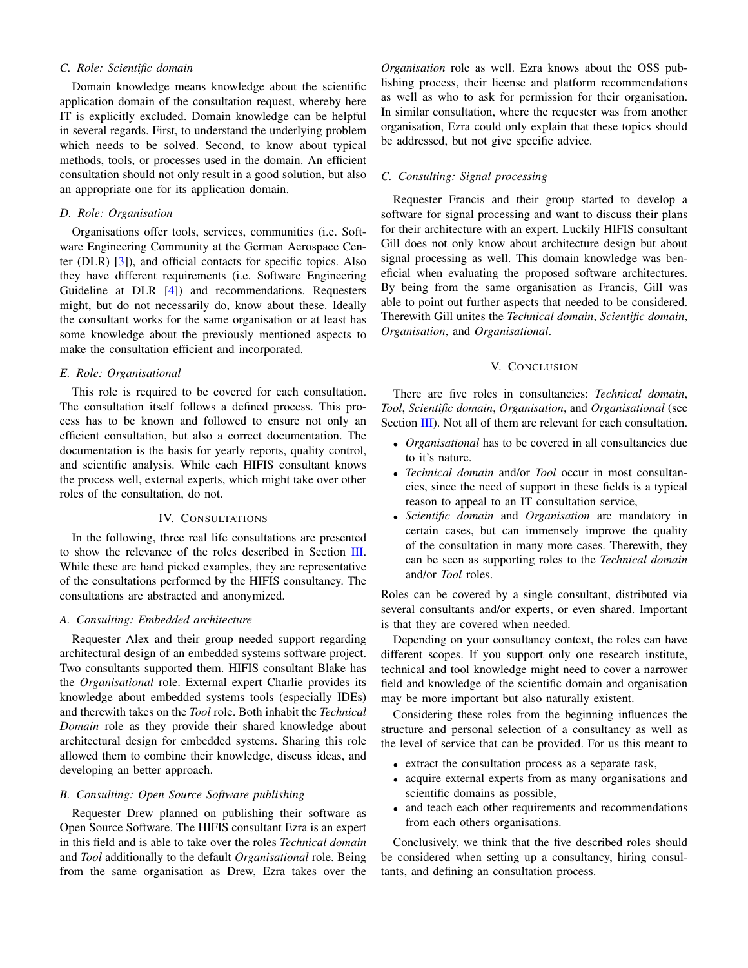## *C. Role: Scientific domain*

Domain knowledge means knowledge about the scientific application domain of the consultation request, whereby here IT is explicitly excluded. Domain knowledge can be helpful in several regards. First, to understand the underlying problem which needs to be solved. Second, to know about typical methods, tools, or processes used in the domain. An efficient consultation should not only result in a good solution, but also an appropriate one for its application domain.

# *D. Role: Organisation*

Organisations offer tools, services, communities (i.e. Software Engineering Community at the German Aerospace Center (DLR) [\[3\]](#page-2-2)), and official contacts for specific topics. Also they have different requirements (i.e. Software Engineering Guideline at DLR [\[4\]](#page-2-3)) and recommendations. Requesters might, but do not necessarily do, know about these. Ideally the consultant works for the same organisation or at least has some knowledge about the previously mentioned aspects to make the consultation efficient and incorporated.

#### *E. Role: Organisational*

This role is required to be covered for each consultation. The consultation itself follows a defined process. This process has to be known and followed to ensure not only an efficient consultation, but also a correct documentation. The documentation is the basis for yearly reports, quality control, and scientific analysis. While each HIFIS consultant knows the process well, external experts, which might take over other roles of the consultation, do not.

## IV. CONSULTATIONS

<span id="page-1-0"></span>In the following, three real life consultations are presented to show the relevance of the roles described in Section [III.](#page-0-3) While these are hand picked examples, they are representative of the consultations performed by the HIFIS consultancy. The consultations are abstracted and anonymized.

## *A. Consulting: Embedded architecture*

Requester Alex and their group needed support regarding architectural design of an embedded systems software project. Two consultants supported them. HIFIS consultant Blake has the *Organisational* role. External expert Charlie provides its knowledge about embedded systems tools (especially IDEs) and therewith takes on the *Tool* role. Both inhabit the *Technical Domain* role as they provide their shared knowledge about architectural design for embedded systems. Sharing this role allowed them to combine their knowledge, discuss ideas, and developing an better approach.

## *B. Consulting: Open Source Software publishing*

Requester Drew planned on publishing their software as Open Source Software. The HIFIS consultant Ezra is an expert in this field and is able to take over the roles *Technical domain* and *Tool* additionally to the default *Organisational* role. Being from the same organisation as Drew, Ezra takes over the

*Organisation* role as well. Ezra knows about the OSS publishing process, their license and platform recommendations as well as who to ask for permission for their organisation. In similar consultation, where the requester was from another organisation, Ezra could only explain that these topics should be addressed, but not give specific advice.

## *C. Consulting: Signal processing*

Requester Francis and their group started to develop a software for signal processing and want to discuss their plans for their architecture with an expert. Luckily HIFIS consultant Gill does not only know about architecture design but about signal processing as well. This domain knowledge was beneficial when evaluating the proposed software architectures. By being from the same organisation as Francis, Gill was able to point out further aspects that needed to be considered. Therewith Gill unites the *Technical domain*, *Scientific domain*, *Organisation*, and *Organisational*.

# V. CONCLUSION

<span id="page-1-1"></span>There are five roles in consultancies: *Technical domain*, *Tool*, *Scientific domain*, *Organisation*, and *Organisational* (see Section [III\)](#page-0-3). Not all of them are relevant for each consultation.

- *Organisational* has to be covered in all consultancies due to it's nature.
- *Technical domain* and/or *Tool* occur in most consultancies, since the need of support in these fields is a typical reason to appeal to an IT consultation service,
- *Scientific domain* and *Organisation* are mandatory in certain cases, but can immensely improve the quality of the consultation in many more cases. Therewith, they can be seen as supporting roles to the *Technical domain* and/or *Tool* roles.

Roles can be covered by a single consultant, distributed via several consultants and/or experts, or even shared. Important is that they are covered when needed.

Depending on your consultancy context, the roles can have different scopes. If you support only one research institute, technical and tool knowledge might need to cover a narrower field and knowledge of the scientific domain and organisation may be more important but also naturally existent.

Considering these roles from the beginning influences the structure and personal selection of a consultancy as well as the level of service that can be provided. For us this meant to

- extract the consultation process as a separate task,
- acquire external experts from as many organisations and scientific domains as possible,
- and teach each other requirements and recommendations from each others organisations.

Conclusively, we think that the five described roles should be considered when setting up a consultancy, hiring consultants, and defining an consultation process.